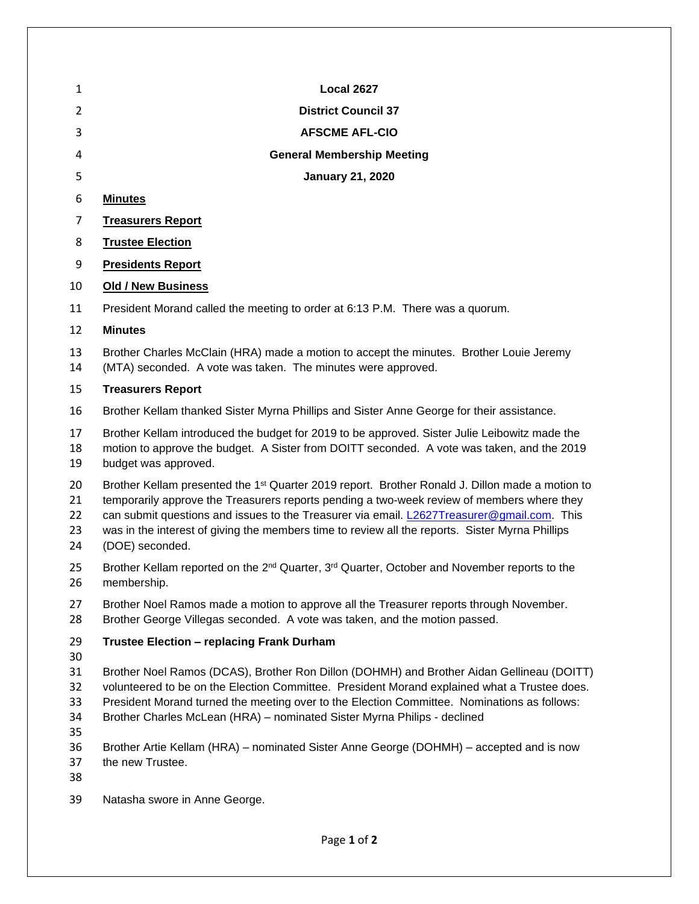| 1                          | <b>Local 2627</b>                                                                                                                                                                                                                                                                                                                                                                                                             |
|----------------------------|-------------------------------------------------------------------------------------------------------------------------------------------------------------------------------------------------------------------------------------------------------------------------------------------------------------------------------------------------------------------------------------------------------------------------------|
| 2                          | <b>District Council 37</b>                                                                                                                                                                                                                                                                                                                                                                                                    |
| 3                          | <b>AFSCME AFL-CIO</b>                                                                                                                                                                                                                                                                                                                                                                                                         |
| 4                          | <b>General Membership Meeting</b>                                                                                                                                                                                                                                                                                                                                                                                             |
| 5                          | <b>January 21, 2020</b>                                                                                                                                                                                                                                                                                                                                                                                                       |
| 6                          | <b>Minutes</b>                                                                                                                                                                                                                                                                                                                                                                                                                |
| 7                          | <b>Treasurers Report</b>                                                                                                                                                                                                                                                                                                                                                                                                      |
| 8                          | <b>Trustee Election</b>                                                                                                                                                                                                                                                                                                                                                                                                       |
| 9                          | <b>Presidents Report</b>                                                                                                                                                                                                                                                                                                                                                                                                      |
| 10                         | <b>Old / New Business</b>                                                                                                                                                                                                                                                                                                                                                                                                     |
| 11                         | President Morand called the meeting to order at 6:13 P.M. There was a quorum.                                                                                                                                                                                                                                                                                                                                                 |
| 12                         | <b>Minutes</b>                                                                                                                                                                                                                                                                                                                                                                                                                |
| 13<br>14                   | Brother Charles McClain (HRA) made a motion to accept the minutes. Brother Louie Jeremy<br>(MTA) seconded. A vote was taken. The minutes were approved.                                                                                                                                                                                                                                                                       |
| 15                         | <b>Treasurers Report</b>                                                                                                                                                                                                                                                                                                                                                                                                      |
| 16                         | Brother Kellam thanked Sister Myrna Phillips and Sister Anne George for their assistance.                                                                                                                                                                                                                                                                                                                                     |
| 17<br>18<br>19             | Brother Kellam introduced the budget for 2019 to be approved. Sister Julie Leibowitz made the<br>motion to approve the budget. A Sister from DOITT seconded. A vote was taken, and the 2019<br>budget was approved.                                                                                                                                                                                                           |
| 20<br>21<br>22<br>23<br>24 | Brother Kellam presented the 1 <sup>st</sup> Quarter 2019 report. Brother Ronald J. Dillon made a motion to<br>temporarily approve the Treasurers reports pending a two-week review of members where they<br>can submit questions and issues to the Treasurer via email. L2627Treasurer@qmail.com. This<br>was in the interest of giving the members time to review all the reports. Sister Myrna Phillips<br>(DOE) seconded. |
| 25<br>26                   | Brother Kellam reported on the 2 <sup>nd</sup> Quarter, 3 <sup>rd</sup> Quarter, October and November reports to the<br>membership.                                                                                                                                                                                                                                                                                           |
| 27<br>28                   | Brother Noel Ramos made a motion to approve all the Treasurer reports through November.<br>Brother George Villegas seconded. A vote was taken, and the motion passed.                                                                                                                                                                                                                                                         |
| 29<br>30                   | <b>Trustee Election - replacing Frank Durham</b>                                                                                                                                                                                                                                                                                                                                                                              |
| 31<br>32<br>33<br>34<br>35 | Brother Noel Ramos (DCAS), Brother Ron Dillon (DOHMH) and Brother Aidan Gellineau (DOITT)<br>volunteered to be on the Election Committee. President Morand explained what a Trustee does.<br>President Morand turned the meeting over to the Election Committee. Nominations as follows:<br>Brother Charles McLean (HRA) - nominated Sister Myrna Philips - declined                                                          |
| 36<br>37<br>38             | Brother Artie Kellam (HRA) – nominated Sister Anne George (DOHMH) – accepted and is now<br>the new Trustee.                                                                                                                                                                                                                                                                                                                   |
|                            |                                                                                                                                                                                                                                                                                                                                                                                                                               |

Natasha swore in Anne George.